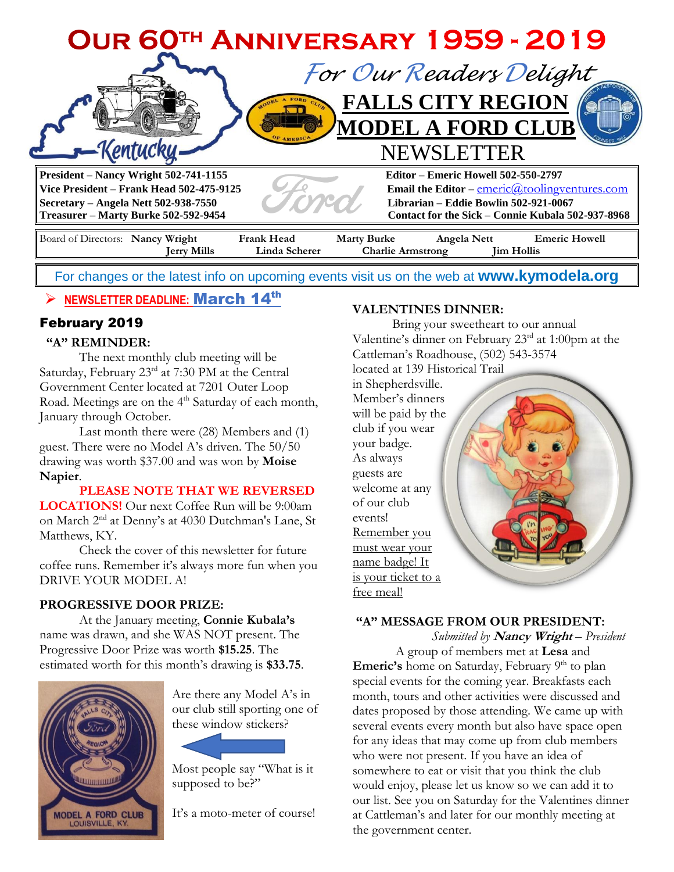

For changes or the latest info on upcoming events visit us on the web at **[www.kymodela.org](http://www.kymodela.org/)**

# ➢ **NEWSLETTER DEADLINE:** March 14 th

## February 2019

### **"A" REMINDER:**

The next monthly club meeting will be Saturday, February 23<sup>rd</sup> at 7:30 PM at the Central Government Center located at 7201 Outer Loop Road. Meetings are on the 4<sup>th</sup> Saturday of each month, January through October.

Last month there were (28) Members and (1) guest. There were no Model A's driven. The 50/50 drawing was worth \$37.00 and was won by **Moise Napier**.

**PLEASE NOTE THAT WE REVERSED LOCATIONS!** Our next Coffee Run will be 9:00am on March 2<sup>nd</sup> at Denny's at 4030 Dutchman's Lane, St Matthews, KY.

Check the cover of this newsletter for future coffee runs. Remember it's always more fun when you DRIVE YOUR MODEL A!

## **PROGRESSIVE DOOR PRIZE:**

At the January meeting, **Connie Kubala's** name was drawn, and she WAS NOT present. The Progressive Door Prize was worth **\$15.25**. The estimated worth for this month's drawing is **\$33.75**.



Are there any Model A's in our club still sporting one of these window stickers?

Most people say "What is it supposed to be?"

It's a moto-meter of course!

### **VALENTINES DINNER:**

Bring your sweetheart to our annual Valentine's dinner on February 23rd at 1:00pm at the Cattleman's Roadhouse, (502) 543-3574

located at 139 Historical Trail in Shepherdsville. Member's dinners will be paid by the club if you wear your badge. As always guests are welcome at any of our club events! Remember you must wear your name badge! It is your ticket to a free meal!

### **"A" MESSAGE FROM OUR PRESIDENT:**

 *Submitted by* **Nancy Wright** *– President* A group of members met at **Lesa** and **Emeric's** home on Saturday, February 9<sup>th</sup> to plan special events for the coming year. Breakfasts each month, tours and other activities were discussed and dates proposed by those attending. We came up with several events every month but also have space open for any ideas that may come up from club members who were not present. If you have an idea of somewhere to eat or visit that you think the club would enjoy, please let us know so we can add it to our list. See you on Saturday for the Valentines dinner at Cattleman's and later for our monthly meeting at the government center.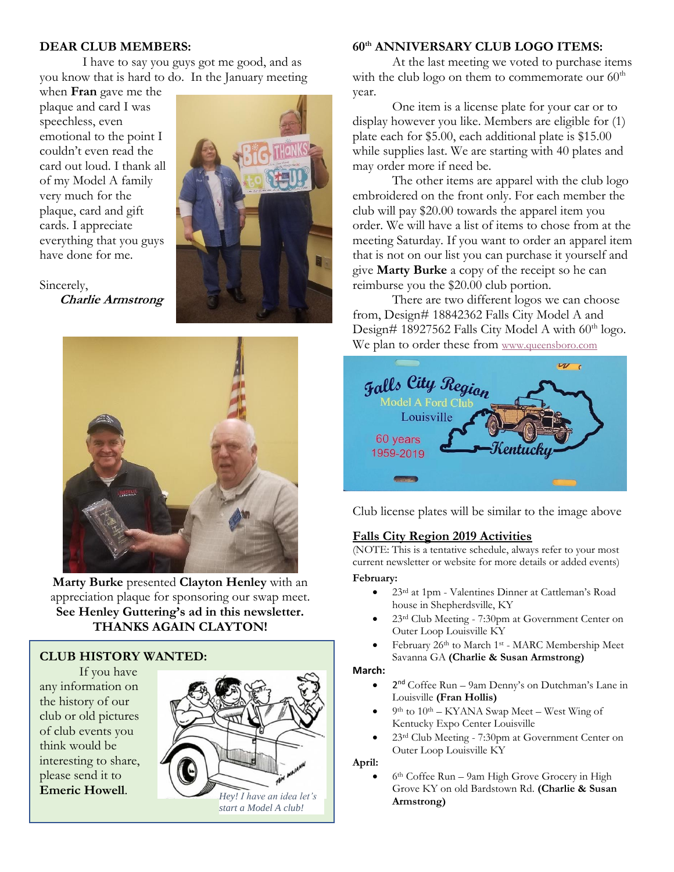#### **DEAR CLUB MEMBERS:**

I have to say you guys got me good, and as you know that is hard to do. In the January meeting

when **Fran** gave me the plaque and card I was speechless, even emotional to the point I couldn't even read the card out loud. I thank all of my Model A family very much for the plaque, card and gift cards. I appreciate everything that you guys have done for me.



Sincerely,  **Charlie Armstrong**



**Marty Burke** presented **Clayton Henley** with an appreciation plaque for sponsoring our swap meet. **See Henley Guttering's ad in this newsletter. THANKS AGAIN CLAYTON!**

### **CLUB HISTORY WANTED:**

If you have any information on the history of our club or old pictures of club events you think would be interesting to share, please send it to **Emeric Howell**.



#### **60th ANNIVERSARY CLUB LOGO ITEMS:**

At the last meeting we voted to purchase items with the club logo on them to commemorate our  $60<sup>th</sup>$ year.

One item is a license plate for your car or to display however you like. Members are eligible for (1) plate each for \$5.00, each additional plate is \$15.00 while supplies last. We are starting with 40 plates and may order more if need be.

The other items are apparel with the club logo embroidered on the front only. For each member the club will pay \$20.00 towards the apparel item you order. We will have a list of items to chose from at the meeting Saturday. If you want to order an apparel item that is not on our list you can purchase it yourself and give **Marty Burke** a copy of the receipt so he can reimburse you the \$20.00 club portion.

There are two different logos we can choose from, Design# 18842362 Falls City Model A and Design# 18927562 Falls City Model A with  $60<sup>th</sup>$  logo. We plan to order these from [www.queensboro.com](http://www.queensboro.com/)



Club license plates will be similar to the image above

### **Falls City Region 2019 Activities**

(NOTE: This is a tentative schedule, always refer to your most current newsletter or website for more details or added events)

#### **February:**

- 23rd at 1pm Valentines Dinner at Cattleman's Road house in Shepherdsville, KY
- 23rd Club Meeting 7:30pm at Government Center on Outer Loop Louisville KY
- February 26th to March 1st MARC Membership Meet Savanna GA **(Charlie & Susan Armstrong)**

#### **March:**

- 2<sup>nd</sup> Coffee Run 9am Denny's on Dutchman's Lane in Louisville **(Fran Hollis)**
- $\bullet$  9<sup>th</sup> to 10<sup>th</sup> KYANA Swap Meet West Wing of Kentucky Expo Center Louisville
- 23rd Club Meeting 7:30pm at Government Center on Outer Loop Louisville KY

**April:** 

• 6<sup>th</sup> Coffee Run – 9am High Grove Grocery in High Grove KY on old Bardstown Rd. **(Charlie & Susan**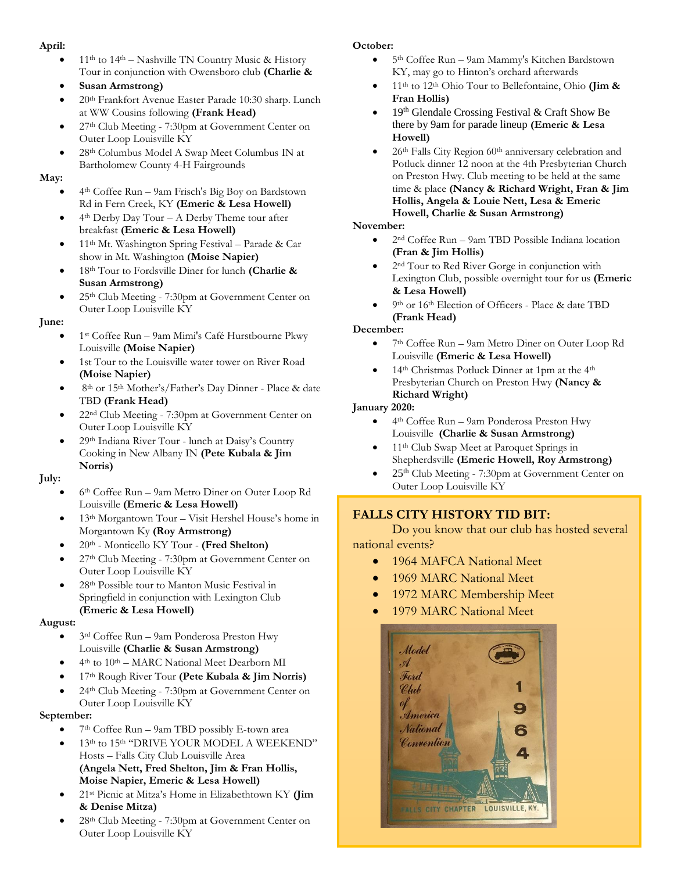#### **April:**

- 11<sup>th</sup> to 14<sup>th</sup> Nashville TN Country Music & History Tour in conjunction with Owensboro club **(Charlie &**
- **Susan Armstrong)**
- 20th Frankfort Avenue Easter Parade 10:30 sharp. Lunch at WW Cousins following **(Frank Head)**
- 27th Club Meeting 7:30pm at Government Center on Outer Loop Louisville KY
- 28th Columbus Model A Swap Meet Columbus IN at Bartholomew County 4-H Fairgrounds

#### **May:**

- 4 th Coffee Run 9a[m Frisch's Big Boy](https://www.frischs.com/) on Bardstown Rd in Fern Creek, KY **(Emeric & Lesa Howell)**
- 4<sup>th</sup> Derby Day Tour A Derby Theme tour after breakfast **(Emeric & Lesa Howell)**
- 11th Mt. Washington Spring Festival Parade & Car show in Mt. Washington **(Moise Napier)**
- 18th Tour to Fordsville Diner for lunch **(Charlie & Susan Armstrong)**
- 25th Club Meeting 7:30pm at Government Center on Outer Loop Louisville KY

#### **June:**

- 1 st Coffee Run 9am Mimi's Café Hurstbourne Pkwy Louisville **(Moise Napier)**
- 1st Tour to the Louisville water tower on River Road **(Moise Napier)**
- 8<sup>th</sup> or 15<sup>th</sup> Mother's/Father's Day Dinner Place & date TBD **(Frank Head)**
- 22nd Club Meeting 7:30pm at Government Center on Outer Loop Louisville KY
- 29th Indiana River Tour lunch at Daisy's Country Cooking in New Albany IN **(Pete Kubala & Jim Norris)**

**July:**

- 6 th Coffee Run 9am Metro Diner on Outer Loop Rd Louisville **(Emeric & Lesa Howell)**
- 13<sup>th</sup> Morgantown Tour Visit Hershel House's home in Morgantown Ky **(Roy Armstrong)**
- 20<sup>th</sup> Monticello KY Tour **(Fred Shelton)**
- 27th Club Meeting 7:30pm at Government Center on Outer Loop Louisville KY
- 28th Possible tour to Manton Music Festival in Springfield in conjunction with Lexington Club **(Emeric & Lesa Howell)**

### **August:**

- 3<sup>rd</sup> Coffee Run 9am Ponderosa Preston Hwy Louisville **(Charlie & Susan Armstrong)**
- 4 th to 10th MARC National Meet Dearborn MI
- 17th Rough River Tour **(Pete Kubala & Jim Norris)**
- 24th Club Meeting 7:30pm at Government Center on Outer Loop Louisville KY

### **September:**

- 7<sup>th</sup> Coffee Run 9am TBD possibly E-town area
- 13<sup>th</sup> to 15<sup>th</sup> "DRIVE YOUR MODEL A WEEKEND" Hosts – Falls City Club Louisville Area **(Angela Nett, Fred Shelton, Jim & Fran Hollis,**
- **Moise Napier, Emeric & Lesa Howell)** • 21st Picnic at Mitza's Home in Elizabethtown KY **(Jim & Denise Mitza)**
- 28th Club Meeting 7:30pm at Government Center on Outer Loop Louisville KY

### **October:**

- 5 th Coffee Run 9am Mammy's Kitchen Bardstown KY, may go to Hinton's orchard afterwards
- 11th to 12th Ohio Tour to Bellefontaine, Ohio **(Jim & Fran Hollis)**
- 19th Glendale Crossing Festival & Craft Show Be there by 9am for parade lineup **(Emeric & Lesa Howell)**
- 26<sup>th</sup> Falls City Region 60<sup>th</sup> anniversary celebration and Potluck dinner 12 noon at the 4th Presbyterian Church on Preston Hwy. Club meeting to be held at the same time & place **(Nancy & Richard Wright, Fran & Jim Hollis, Angela & Louie Nett, Lesa & Emeric Howell, Charlie & Susan Armstrong)**

#### **November:**

- 2 nd Coffee Run 9am TBD Possible Indiana location **(Fran & Jim Hollis)**
- 2<sup>nd</sup> Tour to Red River Gorge in conjunction with Lexington Club, possible overnight tour for us **(Emeric & Lesa Howell)**
- 9<sup>th</sup> or 16<sup>th</sup> Election of Officers Place & date TBD **(Frank Head)**

#### **December:**

- 7 th Coffee Run 9am Metro Diner on Outer Loop Rd Louisville **(Emeric & Lesa Howell)**
- 14<sup>th</sup> Christmas Potluck Dinner at 1pm at the 4<sup>th</sup> Presbyterian Church on Preston Hwy **(Nancy & Richard Wright)**

#### **January 2020:**

- 4<sup>th</sup> Coffee Run 9am Ponderosa Preston Hwy Louisville **(Charlie & Susan Armstrong)**
- 11th Club Swap Meet at Paroquet Springs in Shepherdsville **(Emeric Howell, Roy Armstrong[\)](http://www.ci.bellefontaine.oh.us/)**
- $25<sup>th</sup>$  Club Meeting 7:30pm at Government Center on Outer Loop Louisville KY

## **FALLS CITY HISTORY TID BIT:**

Do you know that our club has hosted several national events?

- 1964 MAFCA National Meet
- 1969 MARC National Meet
- 1972 MARC Membership Meet
- 1979 MARC National Meet